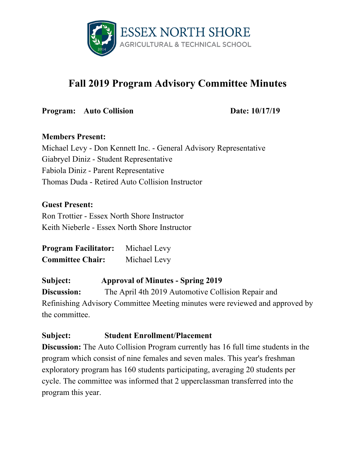

# **Fall 2019 Program Advisory Committee Minutes**

**Program:** Auto Collision **Date:** 10/17/19

#### **Members Present:**

Michael Levy - Don Kennett Inc. - General Advisory Representative Giabryel Diniz - Student Representative Fabiola Diniz - Parent Representative Thomas Duda - Retired Auto Collision Instructor

### **Guest Present:**

Ron Trottier - Essex North Shore Instructor Keith Nieberle - Essex North Shore Instructor

**Program Facilitator:** Michael Levy **Committee Chair:** Michael Levy

### **Subject: Approval of Minutes - Spring 2019**

**Discussion:** The April 4th 2019 Automotive Collision Repair and Refinishing Advisory Committee Meeting minutes were reviewed and approved by the committee.

### **Subject: Student Enrollment/Placement**

**Discussion:** The Auto Collision Program currently has 16 full time students in the program which consist of nine females and seven males. This year's freshman exploratory program has 160 students participating, averaging 20 students per cycle. The committee was informed that 2 upperclassman transferred into the program this year.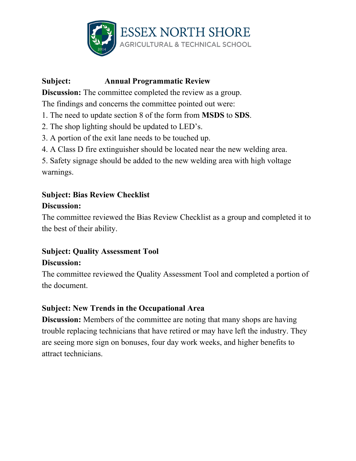

# **Subject: Annual Programmatic Review**

**Discussion:** The committee completed the review as a group.

The findings and concerns the committee pointed out were:

- 1. The need to update section 8 of the form from **MSDS** to **SDS**.
- 2. The shop lighting should be updated to LED's.
- 3. A portion of the exit lane needs to be touched up.
- 4. A Class D fire extinguisher should be located near the new welding area.

5. Safety signage should be added to the new welding area with high voltage warnings.

# **Subject: Bias Review Checklist Discussion:**

The committee reviewed the Bias Review Checklist as a group and completed it to the best of their ability.

# **Subject: Quality Assessment Tool Discussion:**

The committee reviewed the Quality Assessment Tool and completed a portion of the document.

### **Subject: New Trends in the Occupational Area**

**Discussion:** Members of the committee are noting that many shops are having trouble replacing technicians that have retired or may have left the industry. They are seeing more sign on bonuses, four day work weeks, and higher benefits to attract technicians.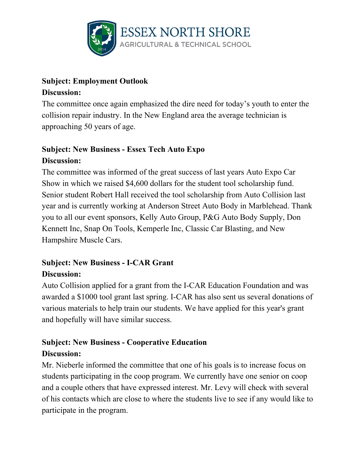

### **Subject: Employment Outlook Discussion:**

The committee once again emphasized the dire need for today's youth to enter the collision repair industry. In the New England area the average technician is approaching 50 years of age.

# **Subject: New Business - Essex Tech Auto Expo Discussion:**

The committee was informed of the great success of last years Auto Expo Car Show in which we raised \$4,600 dollars for the student tool scholarship fund. Senior student Robert Hall received the tool scholarship from Auto Collision last year and is currently working at Anderson Street Auto Body in Marblehead. Thank you to all our event sponsors, Kelly Auto Group, P&G Auto Body Supply, Don Kennett Inc, Snap On Tools, Kemperle Inc, Classic Car Blasting, and New Hampshire Muscle Cars.

### **Subject: New Business - I-CAR Grant Discussion:**

Auto Collision applied for a grant from the I-CAR Education Foundation and was awarded a \$1000 tool grant last spring. I-CAR has also sent us several donations of various materials to help train our students. We have applied for this year's grant and hopefully will have similar success.

# **Subject: New Business - Cooperative Education Discussion:**

Mr. Nieberle informed the committee that one of his goals is to increase focus on students participating in the coop program. We currently have one senior on coop and a couple others that have expressed interest. Mr. Levy will check with several of his contacts which are close to where the students live to see if any would like to participate in the program.